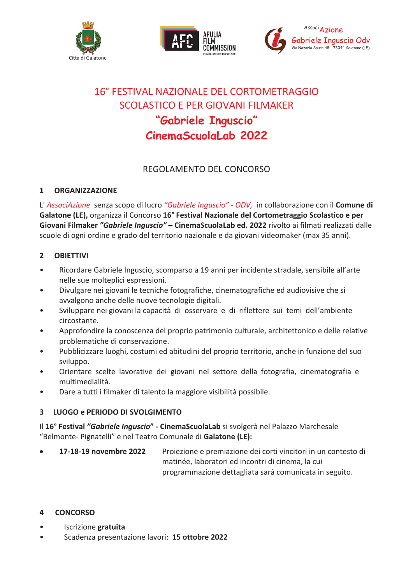





# 16° FESTIVAL NAZIONALE DEL CORTOMETRAGGIO SCOLASTICO E PER GIOVANI FILMAKER "Gabriele Inguscio" **CinemaScuolaLab 2022**

# REGOLAMENTO DEL CONCORSO

#### $\mathbf{1}$ **ORGANIZZAZIONE**

L'AssociAzione senza scopo di lucro "Gabriele Inquscio" - ODV, in collaborazione con il Comune di Galatone (LE), organizza il Concorso 16° Festival Nazionale del Cortometraggio Scolastico e per Giovani Filmaker "Gabriele Inguscio" - CinemaScuolaLab ed. 2022 rivolto ai filmati realizzati dalle scuole di ogni ordine e grado del territorio nazionale e da giovani videomaker (max 35 anni).

#### $\overline{2}$ **OBIFTTIVI**

- $\bullet$ Ricordare Gabriele Inguscio, scomparso a 19 anni per incidente stradale, sensibile all'arte nelle sue molteplici espressioni.
- Divulgare nei giovani le tecniche fotografiche, cinematografiche ed audiovisive che si avvalgono anche delle nuove tecnologie digitali.
- Sviluppare nei giovani la capacità di osservare e di riflettere sui temi dell'ambiente  $\bullet$ circostante.
- Approfondire la conoscenza del proprio patrimonio culturale, architettonico e delle relative problematiche di conservazione.
- Pubblicizzare luoghi, costumi ed abitudini del proprio territorio, anche in funzione del suo  $\bullet$ sviluppo.
- Orientare scelte lavorative dei giovani nel settore della fotografia, cinematografia e multimedialità.
- Dare a tutti i filmaker di talento la maggiore visibilità possibile.

# 3 LUOGO e PERIODO DI SVOLGIMENTO

Il 16° Festival "Gabriele Inguscio" - CinemaScuolaLab si svolgerà nel Palazzo Marchesale "Belmonte- Pignatelli" e nel Teatro Comunale di Galatone (LE):

17-18-19 novembre 2022 Proiezione e premiazione dei corti vincitori in un contesto di matinée, laboratori ed incontri di cinema, la cui programmazione dettagliata sarà comunicata in seguito.

#### $\overline{\mathbf{4}}$ **CONCORSO**

- $\bullet$ Iscrizione gratuita
- Scadenza presentazione lavori: 15 ottobre 2022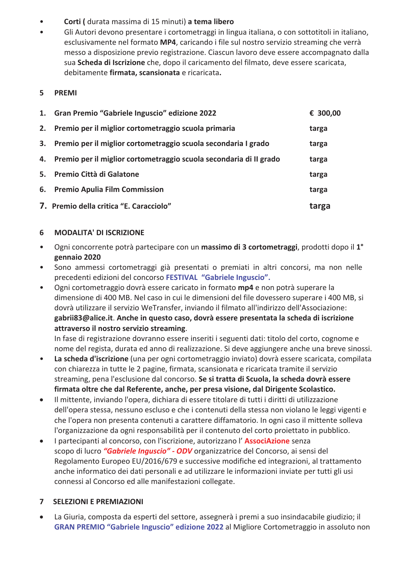- Corti (durata massima di 15 minuti) a tema libero  $\bullet$
- Gli Autori devono presentare i cortometraggi in lingua italiana, o con sottotitoli in italiano,  $\bullet$ esclusivamente nel formato MP4, caricando i file sul nostro servizio streaming che verrà messo a disposizione previo registrazione. Ciascun lavoro deve essere accompagnato dalla sua Scheda di Iscrizione che, dopo il caricamento del filmato, deve essere scaricata, debitamente firmata, scansionata e ricaricata.
- 5 PREMI

|    | 1. Gran Premio "Gabriele Inguscio" edizione 2022                      | € 300,00 |
|----|-----------------------------------------------------------------------|----------|
| 2. | Premio per il miglior cortometraggio scuola primaria                  | targa    |
| 3. | Premio per il miglior cortometraggio scuola secondaria I grado        | targa    |
|    | 4. Premio per il miglior cortometraggio scuola secondaria di II grado | targa    |
| 5. | Premio Città di Galatone                                              | targa    |
| 6. | <b>Premio Apulia Film Commission</b>                                  | targa    |
|    | 7. Premio della critica "E. Caracciolo"                               | targa    |

#### **MODALITA' DI ISCRIZIONE** 6

- $\bullet$ Ogni concorrente potrà partecipare con un massimo di 3 cortometraggi, prodotti dopo il 1<sup>°</sup> gennaio 2020
- $\bullet$ Sono ammessi cortometraggi già presentati o premiati in altri concorsi, ma non nelle precedenti edizioni del concorso FESTIVAL "Gabriele Inguscio".
- Ogni cortometraggio dovrà essere caricato in formato mp4 e non potrà superare la  $\bullet$ dimensione di 400 MB. Nel caso in cui le dimensioni del file dovessero superare i 400 MB, si dovrà utilizzare il servizio WeTransfer, inviando il filmato all'indirizzo dell'Associazione: gabrii83@alice.it. Anche in questo caso, dovrà essere presentata la scheda di iscrizione attraverso il nostro servizio streaming.

In fase di registrazione dovranno essere inseriti i seguenti dati: titolo del corto, cognome e nome del regista, durata ed anno di realizzazione. Si deve aggiungere anche una breve sinossi.

- La scheda d'iscrizione (una per ogni cortometraggio inviato) dovrà essere scaricata, compilata  $\bullet$ con chiarezza in tutte le 2 pagine, firmata, scansionata e ricaricata tramite il servizio streaming, pena l'esclusione dal concorso. Se si tratta di Scuola, la scheda dovrà essere firmata oltre che dal Referente, anche, per presa visione, dal Dirigente Scolastico.
- Il mittente, inviando l'opera, dichiara di essere titolare di tutti i diritti di utilizzazione  $\bullet$ dell'opera stessa, nessuno escluso e che i contenuti della stessa non violano le leggi vigenti e che l'opera non presenta contenuti a carattere diffamatorio. In ogni caso il mittente solleva l'organizzazione da ogni responsabilità per il contenuto del corto proiettato in pubblico.
- I partecipanti al concorso, con l'iscrizione, autorizzano l'AssociAzione senza  $\bullet$ scopo di lucro "Gabriele Inguscio" - ODV organizzatrice del Concorso, ai sensi del Regolamento Europeo EU/2016/679 e successive modifiche ed integrazioni, al trattamento anche informatico dei dati personali e ad utilizzare le informazioni inviate per tutti gli usi connessi al Concorso ed alle manifestazioni collegate.

## **7 SELEZIONI E PREMIAZIONI**

La Giuria, composta da esperti del settore, assegnerà i premi a suo insindacabile giudizio; il  $\bullet$ GRAN PREMIO "Gabriele Inguscio" edizione 2022 al Migliore Cortometraggio in assoluto non